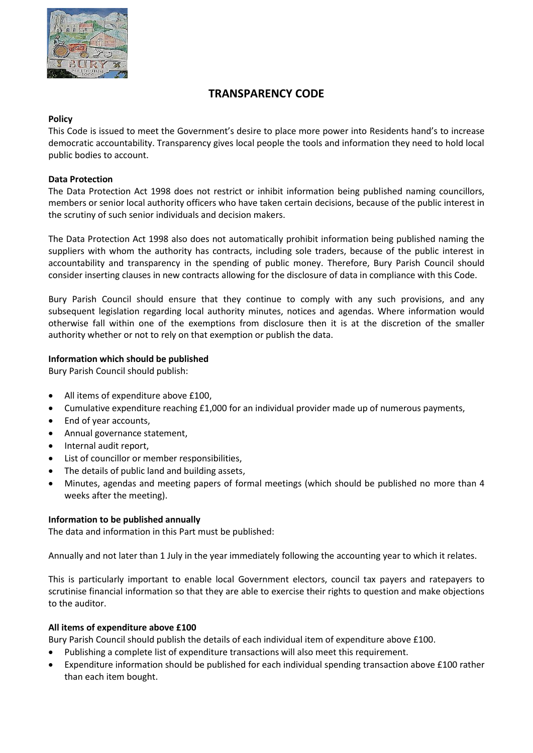

# **TRANSPARENCY CODE**

## **Policy**

This Code is issued to meet the Government's desire to place more power into Residents hand's to increase democratic accountability. Transparency gives local people the tools and information they need to hold local public bodies to account.

## **Data Protection**

The Data Protection Act 1998 does not restrict or inhibit information being published naming councillors, members or senior local authority officers who have taken certain decisions, because of the public interest in the scrutiny of such senior individuals and decision makers.

The Data Protection Act 1998 also does not automatically prohibit information being published naming the suppliers with whom the authority has contracts, including sole traders, because of the public interest in accountability and transparency in the spending of public money. Therefore, Bury Parish Council should consider inserting clauses in new contracts allowing for the disclosure of data in compliance with this Code.

Bury Parish Council should ensure that they continue to comply with any such provisions, and any subsequent legislation regarding local authority minutes, notices and agendas. Where information would otherwise fall within one of the exemptions from disclosure then it is at the discretion of the smaller authority whether or not to rely on that exemption or publish the data.

## **Information which should be published**

Bury Parish Council should publish:

- All items of expenditure above £100,
- Cumulative expenditure reaching £1,000 for an individual provider made up of numerous payments,
- End of year accounts,
- Annual governance statement,
- Internal audit report,
- List of councillor or member responsibilities,
- The details of public land and building assets,
- Minutes, agendas and meeting papers of formal meetings (which should be published no more than 4 weeks after the meeting).

#### **Information to be published annually**

The data and information in this Part must be published:

Annually and not later than 1 July in the year immediately following the accounting year to which it relates.

This is particularly important to enable local Government electors, council tax payers and ratepayers to scrutinise financial information so that they are able to exercise their rights to question and make objections to the auditor.

### **All items of expenditure above £100**

Bury Parish Council should publish the details of each individual item of expenditure above £100.

- Publishing a complete list of expenditure transactions will also meet this requirement.
- Expenditure information should be published for each individual spending transaction above £100 rather than each item bought.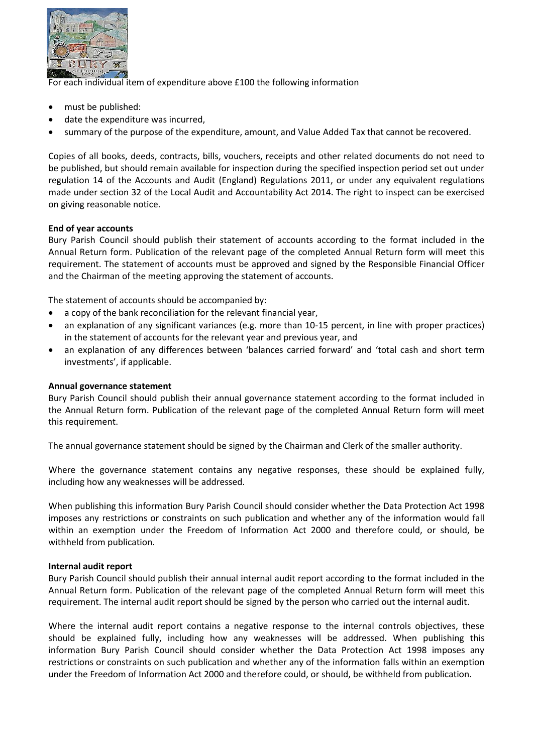

For each individual item of expenditure above £100 the following information

- must be published:
- date the expenditure was incurred,
- summary of the purpose of the expenditure, amount, and Value Added Tax that cannot be recovered.

Copies of all books, deeds, contracts, bills, vouchers, receipts and other related documents do not need to be published, but should remain available for inspection during the specified inspection period set out under regulation 14 of the Accounts and Audit (England) Regulations 2011, or under any equivalent regulations made under section 32 of the Local Audit and Accountability Act 2014. The right to inspect can be exercised on giving reasonable notice.

#### **End of year accounts**

Bury Parish Council should publish their statement of accounts according to the format included in the Annual Return form. Publication of the relevant page of the completed Annual Return form will meet this requirement. The statement of accounts must be approved and signed by the Responsible Financial Officer and the Chairman of the meeting approving the statement of accounts.

The statement of accounts should be accompanied by:

- a copy of the bank reconciliation for the relevant financial year,
- an explanation of any significant variances (e.g. more than 10-15 percent, in line with proper practices) in the statement of accounts for the relevant year and previous year, and
- an explanation of any differences between 'balances carried forward' and 'total cash and short term investments', if applicable.

#### **Annual governance statement**

Bury Parish Council should publish their annual governance statement according to the format included in the Annual Return form. Publication of the relevant page of the completed Annual Return form will meet this requirement.

The annual governance statement should be signed by the Chairman and Clerk of the smaller authority.

Where the governance statement contains any negative responses, these should be explained fully, including how any weaknesses will be addressed.

When publishing this information Bury Parish Council should consider whether the Data Protection Act 1998 imposes any restrictions or constraints on such publication and whether any of the information would fall within an exemption under the Freedom of Information Act 2000 and therefore could, or should, be withheld from publication.

#### **Internal audit report**

Bury Parish Council should publish their annual internal audit report according to the format included in the Annual Return form. Publication of the relevant page of the completed Annual Return form will meet this requirement. The internal audit report should be signed by the person who carried out the internal audit.

Where the internal audit report contains a negative response to the internal controls objectives, these should be explained fully, including how any weaknesses will be addressed. When publishing this information Bury Parish Council should consider whether the Data Protection Act 1998 imposes any restrictions or constraints on such publication and whether any of the information falls within an exemption under the Freedom of Information Act 2000 and therefore could, or should, be withheld from publication.